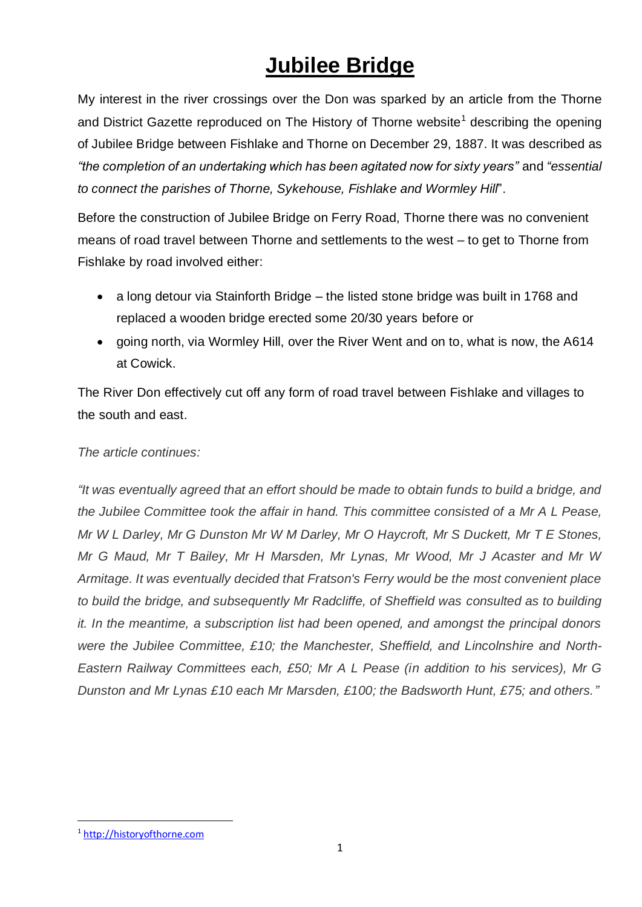## **Jubilee Bridge**

My interest in the river crossings over the Don was sparked by an article from the Thorne and District Gazette reproduced on The History of Thorne website<sup>1</sup> describing the opening of Jubilee Bridge between Fishlake and Thorne on December 29, 1887. It was described as *"the completion of an undertaking which has been agitated now for sixty years"* and *"essential to connect the parishes of Thorne, Sykehouse, Fishlake and Wormley Hill*".

Before the construction of Jubilee Bridge on Ferry Road, Thorne there was no convenient means of road travel between Thorne and settlements to the west – to get to Thorne from Fishlake by road involved either:

- a long detour via Stainforth Bridge the listed stone bridge was built in 1768 and replaced a wooden bridge erected some 20/30 years before or
- going north, via Wormley Hill, over the River Went and on to, what is now, the A614 at Cowick.

The River Don effectively cut off any form of road travel between Fishlake and villages to the south and east.

## *The article continues:*

*"It was eventually agreed that an effort should be made to obtain funds to build a bridge, and the Jubilee Committee took the affair in hand. This committee consisted of a Mr A L Pease, Mr W L Darley, Mr G Dunston Mr W M Darley, Mr O Haycroft, Mr S Duckett, Mr T E Stones, Mr G Maud, Mr T Bailey, Mr H Marsden, Mr Lynas, Mr Wood, Mr J Acaster and Mr W Armitage. It was eventually decided that Fratson's Ferry would be the most convenient place to build the bridge, and subsequently Mr Radcliffe, of Sheffield was consulted as to building it. In the meantime, a subscription list had been opened, and amongst the principal donors were the Jubilee Committee, £10; the Manchester, Sheffield, and Lincolnshire and North-Eastern Railway Committees each, £50; Mr A L Pease (in addition to his services), Mr G Dunston and Mr Lynas £10 each Mr Marsden, £100; the Badsworth Hunt, £75; and others."*

<sup>1</sup> [http://historyofthorne.com](http://historyofthorne.com/)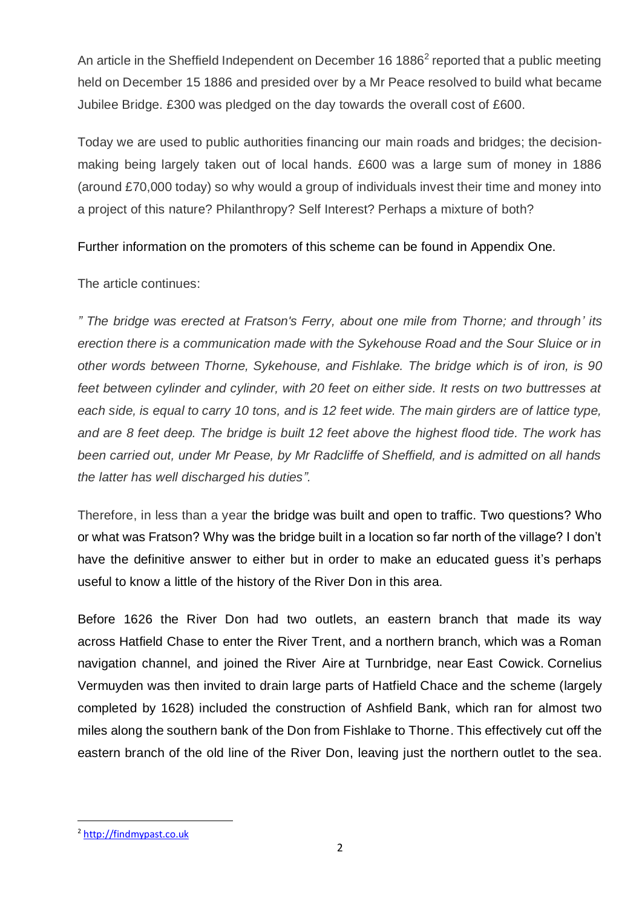An article in the Sheffield Independent on December 16 1886<sup>2</sup> reported that a public meeting held on December 15 1886 and presided over by a Mr Peace resolved to build what became Jubilee Bridge. £300 was pledged on the day towards the overall cost of £600.

Today we are used to public authorities financing our main roads and bridges; the decisionmaking being largely taken out of local hands. £600 was a large sum of money in 1886 (around £70,000 today) so why would a group of individuals invest their time and money into a project of this nature? Philanthropy? Self Interest? Perhaps a mixture of both?

Further information on the promoters of this scheme can be found in Appendix One.

The article continues:

*" The bridge was erected at Fratson's Ferry, about one mile from Thorne; and through' its erection there is a communication made with the Sykehouse Road and the Sour Sluice or in other words between Thorne, Sykehouse, and Fishlake. The bridge which is of iron, is 90 feet between cylinder and cylinder, with 20 feet on either side. It rests on two buttresses at each side, is equal to carry 10 tons, and is 12 feet wide. The main girders are of lattice type, and are 8 feet deep. The bridge is built 12 feet above the highest flood tide. The work has been carried out, under Mr Pease, by Mr Radcliffe of Sheffield, and is admitted on all hands the latter has well discharged his duties".*

Therefore, in less than a year the bridge was built and open to traffic. Two questions? Who or what was Fratson? Why was the bridge built in a location so far north of the village? I don't have the definitive answer to either but in order to make an educated guess it's perhaps useful to know a little of the history of the River Don in this area.

Before 1626 the River Don had two outlets, an eastern branch that made its way across [Hatfield Chase](https://en.wikipedia.org/wiki/Hatfield_Chase) to enter the [River Trent,](https://en.wikipedia.org/wiki/River_Trent) and a northern branch, which was a Roman navigation channel, and joined the [River Aire](https://en.wikipedia.org/wiki/River_Aire) at Turnbridge, near [East Cowick.](https://en.wikipedia.org/wiki/East_Cowick) Cornelius Vermuyden was then invited to drain large parts of Hatfield Chace and the scheme (largely completed by 1628) included the construction of Ashfield Bank, which ran for almost two miles along the southern bank of the Don from Fishlake to Thorne. This effectively cut off the eastern branch of the old line of the River Don, leaving just the northern outlet to the sea.

<sup>2</sup> [http://findmypast.co.uk](http://findmypast.co.uk/)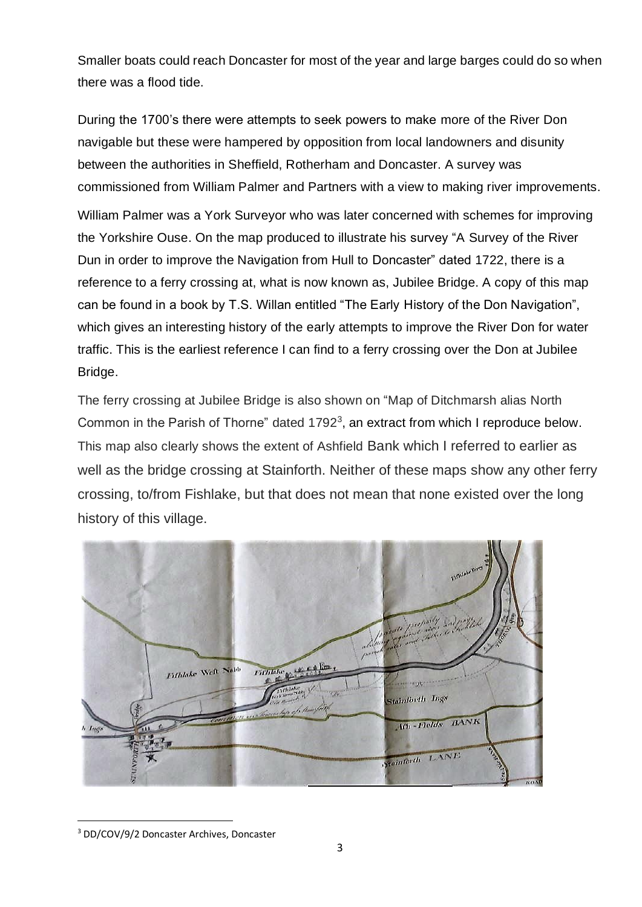Smaller boats could reach Doncaster for most of the year and large barges could do so when there was a flood tide.

During the 1700's there were attempts to seek powers to make more of the River Don navigable but these were hampered by opposition from local landowners and disunity between the authorities in [Sheffield,](https://en.wikipedia.org/wiki/Sheffield) [Rotherham](https://en.wikipedia.org/wiki/Rotherham) and [Doncaster.](https://en.wikipedia.org/wiki/Doncaster) A survey was commissioned from William Palmer and Partners with a view to making river improvements. William Palmer was a York Surveyor who was later concerned with schemes for improving the Yorkshire Ouse. On the map produced to illustrate his survey "A Survey of the River Dun in order to improve the Navigation from Hull to Doncaster" dated 1722, there is a reference to a ferry crossing at, what is now known as, Jubilee Bridge. A copy of this map can be found in a book by T.S. Willan entitled "The Early History of the Don Navigation", which gives an interesting history of the early attempts to improve the River Don for water traffic. This is the earliest reference I can find to a ferry crossing over the Don at Jubilee Bridge.

The ferry crossing at Jubilee Bridge is also shown on "Map of Ditchmarsh alias North Common in the Parish of Thorne" dated 1792<sup>3</sup>, an extract from which I reproduce below. This map also clearly shows the extent of Ashfield Bank which I referred to earlier as well as the bridge crossing at Stainforth. Neither of these maps show any other ferry crossing, to/from Fishlake, but that does not mean that none existed over the long history of this village.



<sup>3</sup> DD/COV/9/2 Doncaster Archives, Doncaster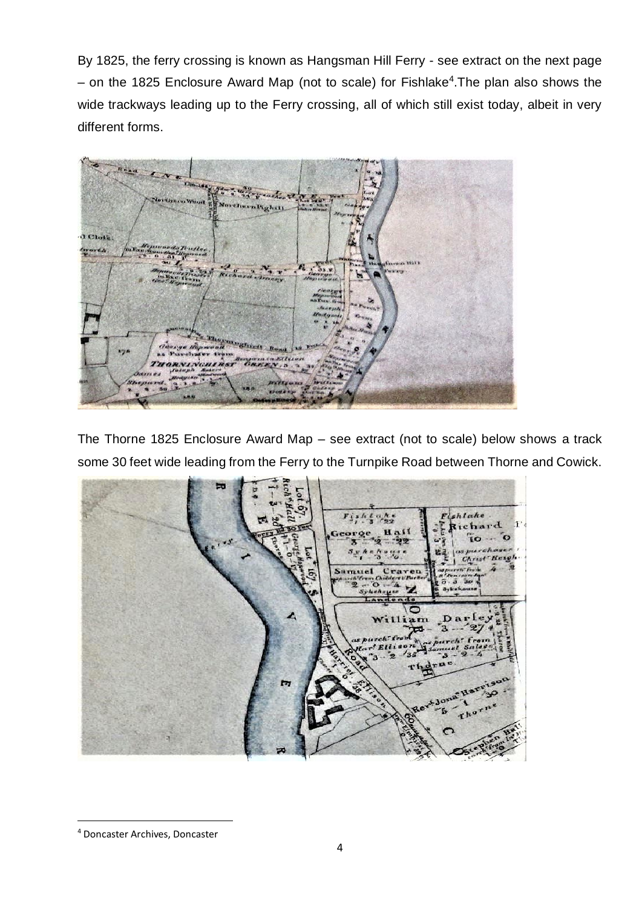By 1825, the ferry crossing is known as Hangsman Hill Ferry - see extract on the next page – on the 1825 Enclosure Award Map (not to scale) for Fishlake<sup>4</sup>. The plan also shows the wide trackways leading up to the Ferry crossing, all of which still exist today, albeit in very different forms.



The Thorne 1825 Enclosure Award Map – see extract (not to scale) below shows a track some 30 feet wide leading from the Ferry to the Turnpike Road between Thorne and Cowick.



<sup>4</sup> Doncaster Archives, Doncaster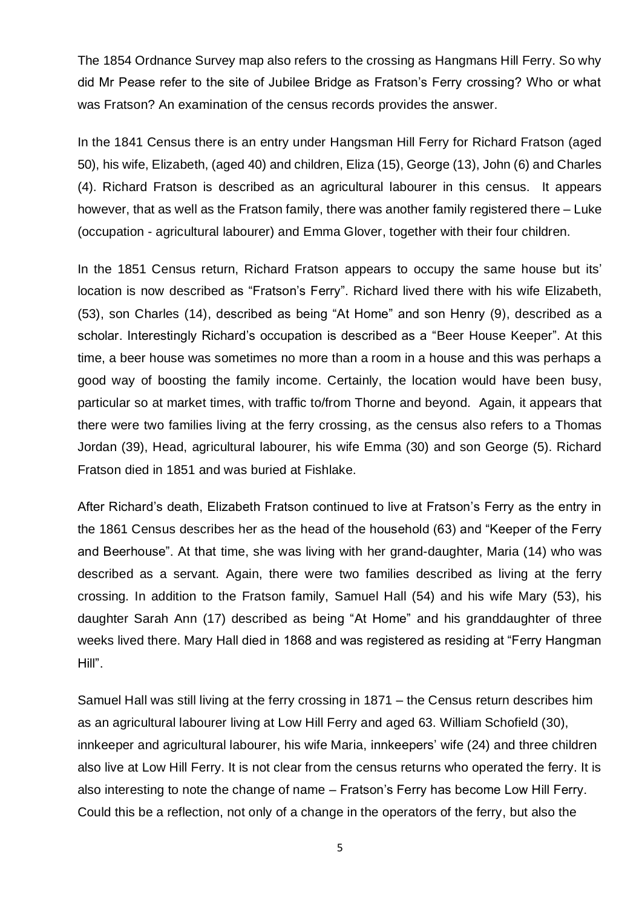The 1854 Ordnance Survey map also refers to the crossing as Hangmans Hill Ferry. So why did Mr Pease refer to the site of Jubilee Bridge as Fratson's Ferry crossing? Who or what was Fratson? An examination of the census records provides the answer.

In the 1841 Census there is an entry under Hangsman Hill Ferry for Richard Fratson (aged 50), his wife, Elizabeth, (aged 40) and children, Eliza (15), George (13), John (6) and Charles (4). Richard Fratson is described as an agricultural labourer in this census. It appears however, that as well as the Fratson family, there was another family registered there – Luke (occupation - agricultural labourer) and Emma Glover, together with their four children.

In the 1851 Census return, Richard Fratson appears to occupy the same house but its' location is now described as "Fratson's Ferry". Richard lived there with his wife Elizabeth, (53), son Charles (14), described as being "At Home" and son Henry (9), described as a scholar. Interestingly Richard's occupation is described as a "Beer House Keeper". At this time, a beer house was sometimes no more than a room in a house and this was perhaps a good way of boosting the family income. Certainly, the location would have been busy, particular so at market times, with traffic to/from Thorne and beyond. Again, it appears that there were two families living at the ferry crossing, as the census also refers to a Thomas Jordan (39), Head, agricultural labourer, his wife Emma (30) and son George (5). Richard Fratson died in 1851 and was buried at Fishlake.

After Richard's death, Elizabeth Fratson continued to live at Fratson's Ferry as the entry in the 1861 Census describes her as the head of the household (63) and "Keeper of the Ferry and Beerhouse". At that time, she was living with her grand-daughter, Maria (14) who was described as a servant. Again, there were two families described as living at the ferry crossing. In addition to the Fratson family, Samuel Hall (54) and his wife Mary (53), his daughter Sarah Ann (17) described as being "At Home" and his granddaughter of three weeks lived there. Mary Hall died in 1868 and was registered as residing at "Ferry Hangman Hill".

Samuel Hall was still living at the ferry crossing in 1871 – the Census return describes him as an agricultural labourer living at Low Hill Ferry and aged 63. William Schofield (30), innkeeper and agricultural labourer, his wife Maria, innkeepers' wife (24) and three children also live at Low Hill Ferry. It is not clear from the census returns who operated the ferry. It is also interesting to note the change of name – Fratson's Ferry has become Low Hill Ferry. Could this be a reflection, not only of a change in the operators of the ferry, but also the

5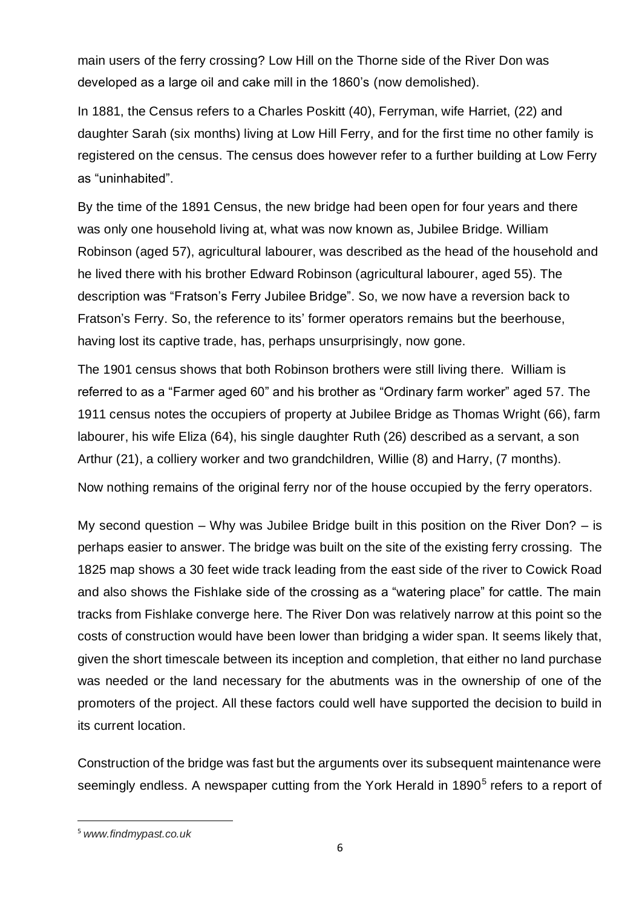main users of the ferry crossing? Low Hill on the Thorne side of the River Don was developed as a large oil and cake mill in the 1860's (now demolished).

In 1881, the Census refers to a Charles Poskitt (40), Ferryman, wife Harriet, (22) and daughter Sarah (six months) living at Low Hill Ferry, and for the first time no other family is registered on the census. The census does however refer to a further building at Low Ferry as "uninhabited".

By the time of the 1891 Census, the new bridge had been open for four years and there was only one household living at, what was now known as, Jubilee Bridge. William Robinson (aged 57), agricultural labourer, was described as the head of the household and he lived there with his brother Edward Robinson (agricultural labourer, aged 55). The description was "Fratson's Ferry Jubilee Bridge". So, we now have a reversion back to Fratson's Ferry. So, the reference to its' former operators remains but the beerhouse, having lost its captive trade, has, perhaps unsurprisingly, now gone.

The 1901 census shows that both Robinson brothers were still living there. William is referred to as a "Farmer aged 60" and his brother as "Ordinary farm worker" aged 57. The 1911 census notes the occupiers of property at Jubilee Bridge as Thomas Wright (66), farm labourer, his wife Eliza (64), his single daughter Ruth (26) described as a servant, a son Arthur (21), a colliery worker and two grandchildren, Willie (8) and Harry, (7 months).

Now nothing remains of the original ferry nor of the house occupied by the ferry operators.

My second question – Why was Jubilee Bridge built in this position on the River Don? – is perhaps easier to answer. The bridge was built on the site of the existing ferry crossing. The 1825 map shows a 30 feet wide track leading from the east side of the river to Cowick Road and also shows the Fishlake side of the crossing as a "watering place" for cattle. The main tracks from Fishlake converge here. The River Don was relatively narrow at this point so the costs of construction would have been lower than bridging a wider span. It seems likely that, given the short timescale between its inception and completion, that either no land purchase was needed or the land necessary for the abutments was in the ownership of one of the promoters of the project. All these factors could well have supported the decision to build in its current location.

Construction of the bridge was fast but the arguments over its subsequent maintenance were seemingly endless. A newspaper cutting from the York Herald in 1890<sup>5</sup> refers to a report of

<sup>5</sup> *www.findmypast.co.uk*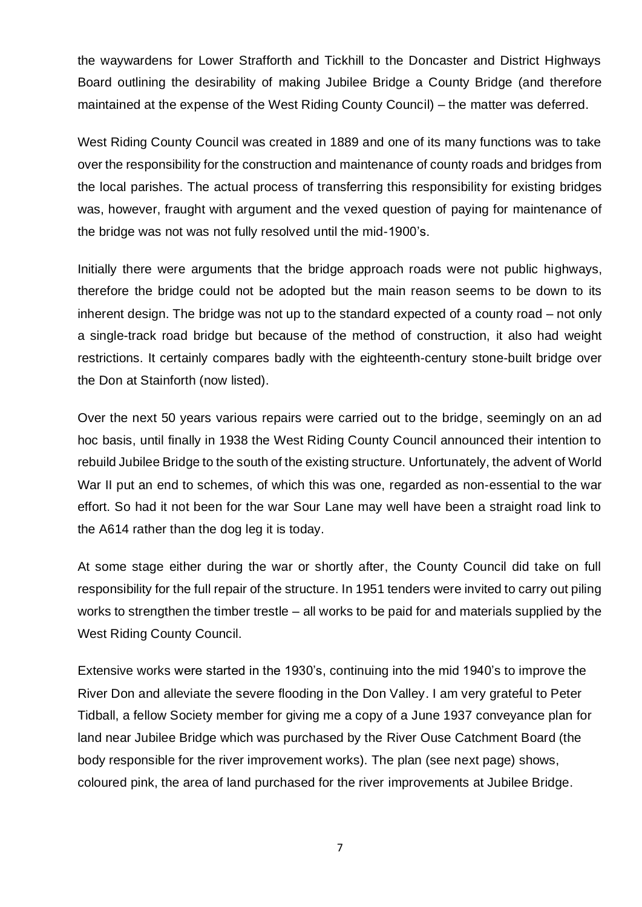the waywardens for Lower Strafforth and Tickhill to the Doncaster and District Highways Board outlining the desirability of making Jubilee Bridge a County Bridge (and therefore maintained at the expense of the West Riding County Council) – the matter was deferred.

West Riding County Council was created in 1889 and one of its many functions was to take over the responsibility for the construction and maintenance of county roads and bridges from the local parishes. The actual process of transferring this responsibility for existing bridges was, however, fraught with argument and the vexed question of paying for maintenance of the bridge was not was not fully resolved until the mid-1900's.

Initially there were arguments that the bridge approach roads were not public highways, therefore the bridge could not be adopted but the main reason seems to be down to its inherent design. The bridge was not up to the standard expected of a county road – not only a single-track road bridge but because of the method of construction, it also had weight restrictions. It certainly compares badly with the eighteenth-century stone-built bridge over the Don at Stainforth (now listed).

Over the next 50 years various repairs were carried out to the bridge, seemingly on an ad hoc basis, until finally in 1938 the West Riding County Council announced their intention to rebuild Jubilee Bridge to the south of the existing structure. Unfortunately, the advent of World War II put an end to schemes, of which this was one, regarded as non-essential to the war effort. So had it not been for the war Sour Lane may well have been a straight road link to the A614 rather than the dog leg it is today.

At some stage either during the war or shortly after, the County Council did take on full responsibility for the full repair of the structure. In 1951 tenders were invited to carry out piling works to strengthen the timber trestle – all works to be paid for and materials supplied by the West Riding County Council.

Extensive works were started in the 1930's, continuing into the mid 1940's to improve the River Don and alleviate the severe flooding in the Don Valley. I am very grateful to Peter Tidball, a fellow Society member for giving me a copy of a June 1937 conveyance plan for land near Jubilee Bridge which was purchased by the River Ouse Catchment Board (the body responsible for the river improvement works). The plan (see next page) shows, coloured pink, the area of land purchased for the river improvements at Jubilee Bridge.

7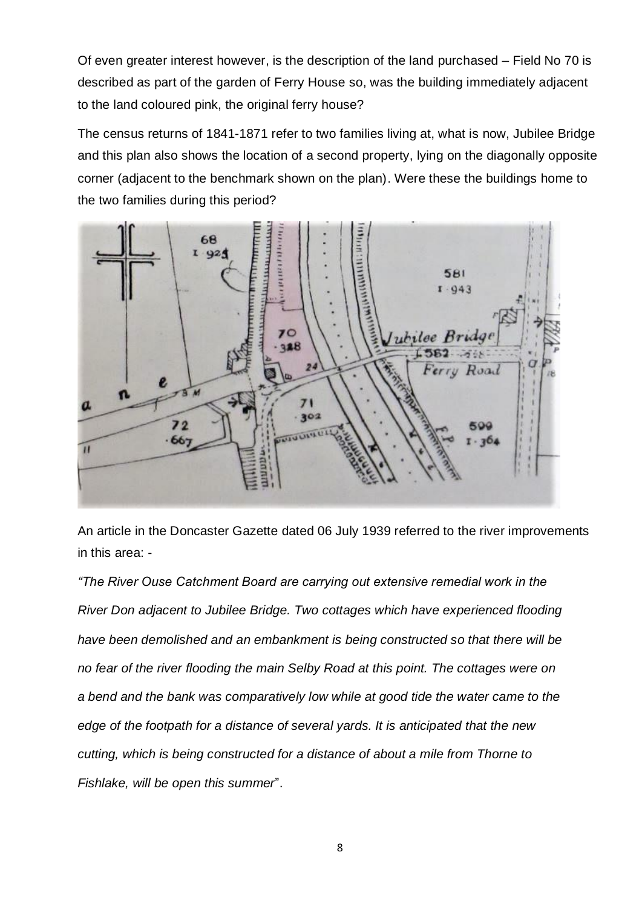Of even greater interest however, is the description of the land purchased – Field No 70 is described as part of the garden of Ferry House so, was the building immediately adjacent to the land coloured pink, the original ferry house?

The census returns of 1841-1871 refer to two families living at, what is now, Jubilee Bridge and this plan also shows the location of a second property, lying on the diagonally opposite corner (adjacent to the benchmark shown on the plan). Were these the buildings home to the two families during this period?



An article in the Doncaster Gazette dated 06 July 1939 referred to the river improvements in this area: -

*"The River Ouse Catchment Board are carrying out extensive remedial work in the River Don adjacent to Jubilee Bridge. Two cottages which have experienced flooding have been demolished and an embankment is being constructed so that there will be no fear of the river flooding the main Selby Road at this point. The cottages were on a bend and the bank was comparatively low while at good tide the water came to the edge of the footpath for a distance of several yards. It is anticipated that the new cutting, which is being constructed for a distance of about a mile from Thorne to Fishlake, will be open this summer*".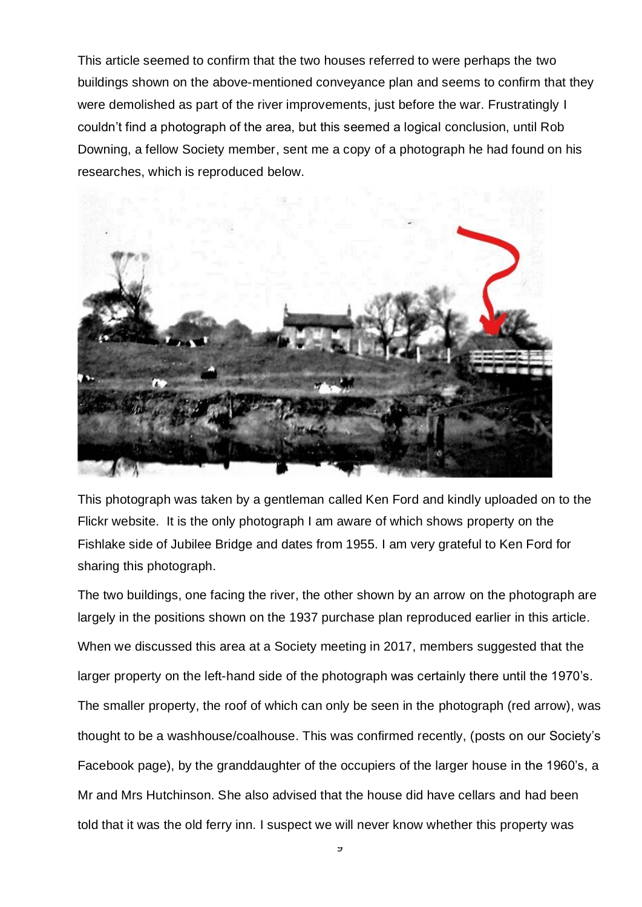This article seemed to confirm that the two houses referred to were perhaps the two buildings shown on the above-mentioned conveyance plan and seems to confirm that they were demolished as part of the river improvements, just before the war. Frustratingly I couldn't find a photograph of the area, but this seemed a logical conclusion, until Rob Downing, a fellow Society member, sent me a copy of a photograph he had found on his researches, which is reproduced below.



This photograph was taken by a gentleman called Ken Ford and kindly uploaded on to the Flickr website. It is the only photograph I am aware of which shows property on the Fishlake side of Jubilee Bridge and dates from 1955. I am very grateful to Ken Ford for sharing this photograph.

The two buildings, one facing the river, the other shown by an arrow on the photograph are largely in the positions shown on the 1937 purchase plan reproduced earlier in this article. When we discussed this area at a Society meeting in 2017, members suggested that the larger property on the left-hand side of the photograph was certainly there until the 1970's. The smaller property, the roof of which can only be seen in the photograph (red arrow), was thought to be a washhouse/coalhouse. This was confirmed recently, (posts on our Society's Facebook page), by the granddaughter of the occupiers of the larger house in the 1960's, a Mr and Mrs Hutchinson. She also advised that the house did have cellars and had been told that it was the old ferry inn. I suspect we will never know whether this property was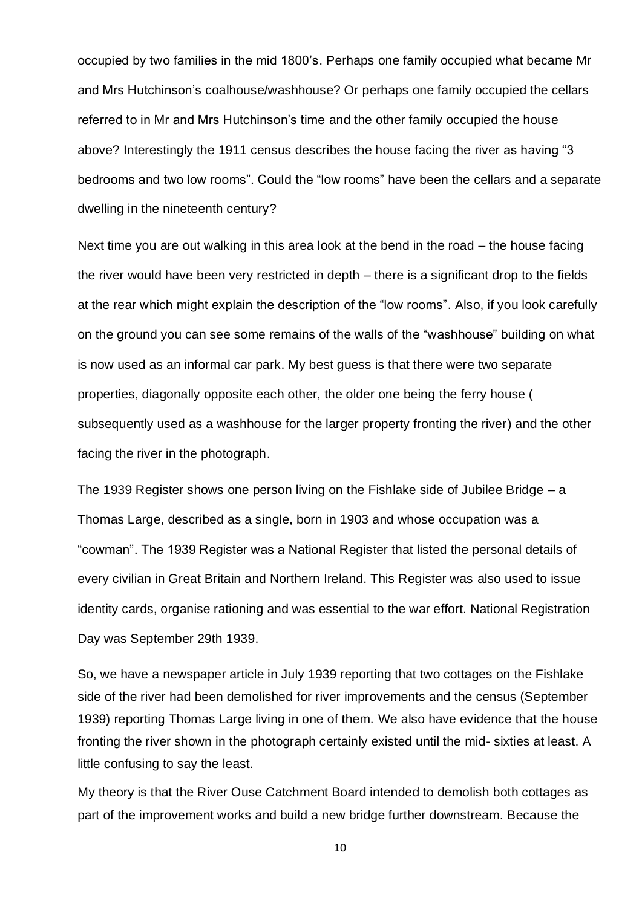occupied by two families in the mid 1800's. Perhaps one family occupied what became Mr and Mrs Hutchinson's coalhouse/washhouse? Or perhaps one family occupied the cellars referred to in Mr and Mrs Hutchinson's time and the other family occupied the house above? Interestingly the 1911 census describes the house facing the river as having "3 bedrooms and two low rooms". Could the "low rooms" have been the cellars and a separate dwelling in the nineteenth century?

Next time you are out walking in this area look at the bend in the road – the house facing the river would have been very restricted in depth – there is a significant drop to the fields at the rear which might explain the description of the "low rooms". Also, if you look carefully on the ground you can see some remains of the walls of the "washhouse" building on what is now used as an informal car park. My best guess is that there were two separate properties, diagonally opposite each other, the older one being the ferry house ( subsequently used as a washhouse for the larger property fronting the river) and the other facing the river in the photograph.

The 1939 Register shows one person living on the Fishlake side of Jubilee Bridge – a Thomas Large, described as a single, born in 1903 and whose occupation was a "cowman". The 1939 Register was a National Register that listed the personal details of every civilian in Great Britain and Northern Ireland. This Register was also used to issue identity cards, organise rationing and was essential to the war effort. National Registration Day was September 29th 1939.

So, we have a newspaper article in July 1939 reporting that two cottages on the Fishlake side of the river had been demolished for river improvements and the census (September 1939) reporting Thomas Large living in one of them. We also have evidence that the house fronting the river shown in the photograph certainly existed until the mid- sixties at least. A little confusing to say the least.

My theory is that the River Ouse Catchment Board intended to demolish both cottages as part of the improvement works and build a new bridge further downstream. Because the

10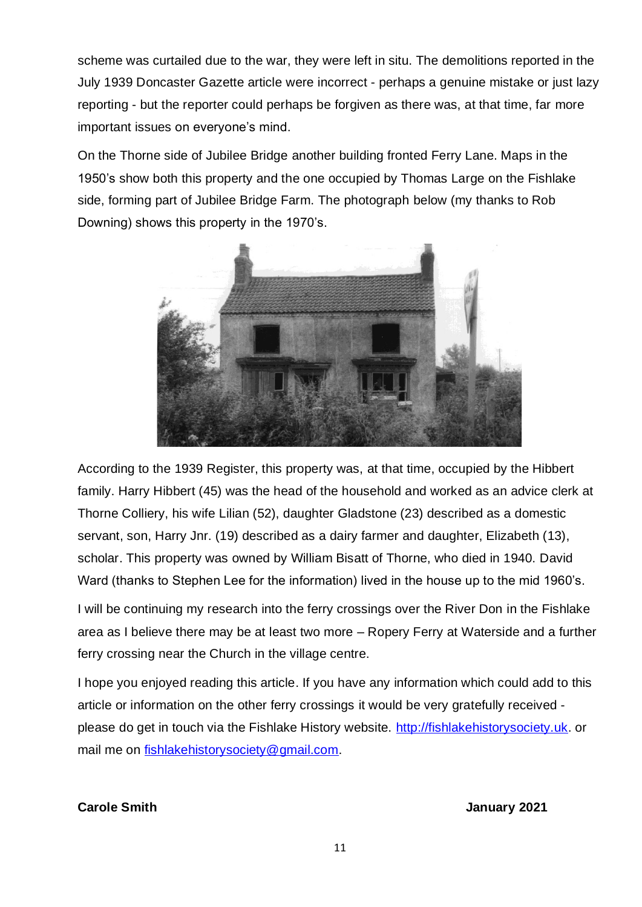scheme was curtailed due to the war, they were left in situ. The demolitions reported in the July 1939 Doncaster Gazette article were incorrect - perhaps a genuine mistake or just lazy reporting - but the reporter could perhaps be forgiven as there was, at that time, far more important issues on everyone's mind.

On the Thorne side of Jubilee Bridge another building fronted Ferry Lane. Maps in the 1950's show both this property and the one occupied by Thomas Large on the Fishlake side, forming part of Jubilee Bridge Farm. The photograph below (my thanks to Rob Downing) shows this property in the 1970's.



According to the 1939 Register, this property was, at that time, occupied by the Hibbert family. Harry Hibbert (45) was the head of the household and worked as an advice clerk at Thorne Colliery, his wife Lilian (52), daughter Gladstone (23) described as a domestic servant, son, Harry Jnr. (19) described as a dairy farmer and daughter, Elizabeth (13), scholar. This property was owned by William Bisatt of Thorne, who died in 1940. David Ward (thanks to Stephen Lee for the information) lived in the house up to the mid 1960's.

I will be continuing my research into the ferry crossings over the River Don in the Fishlake area as I believe there may be at least two more – Ropery Ferry at Waterside and a further ferry crossing near the Church in the village centre.

I hope you enjoyed reading this article. If you have any information which could add to this article or information on the other ferry crossings it would be very gratefully received please do get in touch via the Fishlake History website. [http://fishlakehistorysociety.uk.](http://fishlakehistorysociety.uk/) or mail me on [fishlakehistorysociety@gmail.com.](mailto:fishlakehistorysociety@gmail.com)

**Carole Smith Carole Smith** January 2021